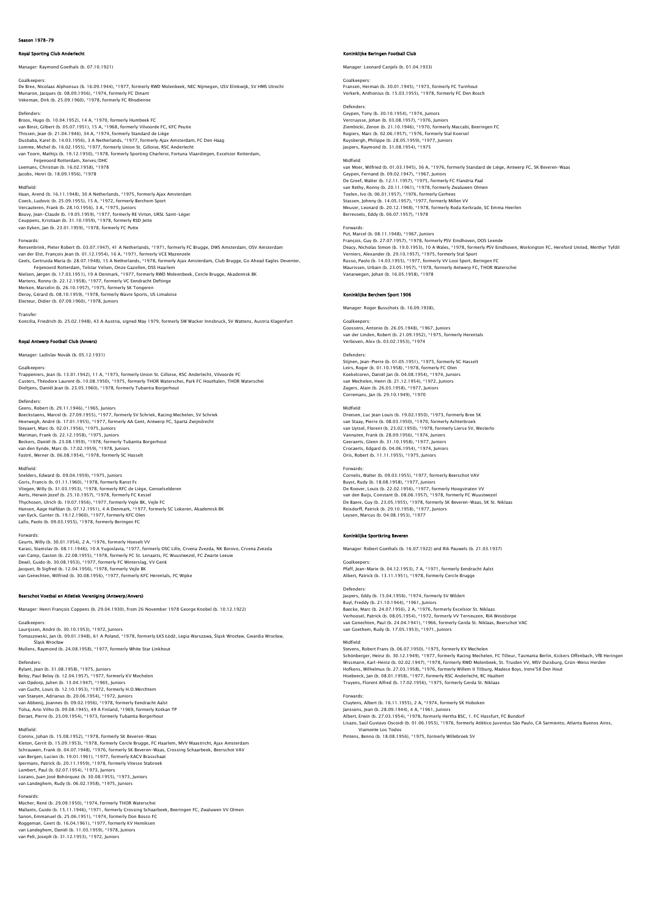## Season 1978-79

# Royal Sporting Club Anderlecht

Manager: Raymond Goethals (b. 07.10.1921)

### Goalkeepers:

De Bree, Nicolaas Alphonsus (b. 16.09.1944), \*1977, formerly RWD Molenbeek, NEC Nijmegen, USV Elinkwijk, SV HMS Utrecht Munaron, Jacques (b. 08.09.1956), \*1974, formerly FC Dinant Vekeman, Dirk (b. 25.09.1960), \*1978, formerly FC Rhodienne

## Defenders:

Broos, Hugo (b. 10.04.1952), 14 A, \*1970, formerly Humbeek FC van Binst, Gilbert (b. 05.07.1951), 15 A, \*1968, formerly Vilvoorde FC, KFC Peutie<br>Thissen, Jean (b. 21.04.1946), 34 A, \*1974, formerly Standard de Liège<br>Dusbaba, Karel (b. 14.03.1956), 3 A Netherlands, \*1977, formerly Aja van Toorn, Mathijs (b. 19.12.1950), \*1978, formerly Sporting Charleroi, Fortuna Vlaardingen, Excelsior Rotterdam, Feijenoord Rotterdam, Xerves/DHC Leemans, Christian (b. 16.02.1958), \*1978 Jacobs, Henri (b. 18.09.1956), \*1978

### Midfield:

Haan, Arend (b. 16.11.1948), 30 A Netherlands, \*1975, formerly Ajax Amsterdam Coeck, Ludovic (b. 25.09.1955), 15 A, \*1972, formerly Berchem Sport<br>Vercauteren, Frank (b. 28.10.1956), 3 A, \*1975, Juniors<br>Bouvy, Jean-Claude (b. 19.05.1959), \*1977, formerly RE Virton, URSL Saint-Léger<br>Ceuppens, Kristiaa van Eyken, Jan (b. 23.01.1959), \*1978, formerly FC Putte

Forwards:<br>Rensenbrink, Pieter Robert (b. 03.07.1947), 41 A Netherlands, \*1971, formerly FC Brugge, DWS Amsterdam, OSV Amsterdam<br>van der Elst, François Jean (b. 01.12.1954), 16 A, \*1971, formerly VCE Mazenzele Geels, Gertruida Maria (b. 28.07.1948), 15 A Netherlands, \*1978, formerly Ajax Amsterdam, Club Brugge, Go Ahead Eagles Deventer, Feijenoord Rotterdam, Telstar Velsen, Onze Gazellen, DSS Haarlem Nielsen, Jørgen (b. 17.03.1951), 19 A Denmark, \*1977, formerly RWD Moleenbeek, Cercle Brugge, Akademisk BK<br>Martens, Ronny (b. 22.12.1958), \*1977, formerly VC Eendracht Deftinge<br>Merken, Marcelin (b. 26.10.1957), \*1975, form Deroy, Gérard (b. 08.10.1959), \*1978, formerly Wavre Sports, US Limaloise Electeur, Didier (b. 07.09.1960), \*1978, Juniors

# Transfer:

Koncilia, Friedrich (b. 25.02.1948), 43 A Austria, signed May 1979, formerly SW Wacker Innsbruck, SV Wattens, Austria Klagenfurt

## Royal Antwerp Football Club (Anvers)

Manager: Ladislav Novák (b. 05.12.1931)

## Goalkeepers

Trappeniers, Jean (b. 13.01.1942), 11 A, \*1973, formerly Union St. Gilloise, RSC Anderlecht, Vilvoorde FC Custers, Théodore Laurent (b. 10.08.1950), \*1975, formerly THOR Waterschei, Park FC Houthalen, THOR Waterschei Dieltjens, Daniël Jean (b. 23.05.1960), \*1978, formerly Tubantia Borgerhout

# Defenders:

Geens, Robert (b. 29.11.1946), \*1965, Juniors Boeckstaens, Marcel (b. 27.09.1955), \* 1977, formerly SV Schriek, Racing Mechelen, SV Schriek<br>Heerwegh, André (b. 17.01.1955), \*1977, formerly AA Cent, Antwerp FC, Sparta Zwijndrecht<br>Steyaert, Marc (b. 02.21.2.1958), \*1975

Midfield:<br>Snelders, Edward (b. 09.04.1959), \*1975, Juniors Snelders, Edward (b. 09.04.1959), \*1975. Juniors<br>Goris, Francis (b. 01.11.1960), \*1978, formerly Ranst Fc<br>Vliegen, Willy (b. 31.03.1953), \*1978, formerly RFC de Liège, Genoelselderen<br>Aerts, Herwin Jozef (b. 25.10.1957), \*1 van Eyck, Gunter (b. 19.12.1960), \*1977, formerly KFC Olen Lallo, Paolo (b. 09.03.1955), \*1978, formerly Beringen FC

### Forwards:

Geurts, Willy (b. 30.01.1954), 2 A, \*1976, formerly Hoeselt VV Karasi, Stanislav (b. 08.11.1946), 10 A Yugoslavia, \*1977, formerly OSC Lille, Crvena Zvezda, NK Borovo, Crvena Zvezda<br>van Camp, Gaston (b. 22.08.1955), \*1978, formerly FC St. Lenaarts, FC Wuustwezel, FC Zwarte Leeuw Dewil, Guido (b. 30.08.1953), \*1977, formerly FC Winterslag, VV Genk<br>Jacquet, Ib Sigfred (b. 12.04.1956), \*1978, formerly Vejle BK<br>van Genechten, Wilfried (b. 30.08.1956), \*1977, formerly KFC Herentals, FC Wipke

## Beerschot Voetbal en Atletiek Vereniging (Antwerp/Anvers)

Manager: Henri François Coppens (b. 29.04.1930), from 26 November 1978 George Knobel (b. 10.12.1922)

Goalkeepers:<br>Laurijssen, André (b. 30.10.1953), \*1972, Juniors<br>Tomaszewski, Jan (b. 09.01.1948), 61 A Poland, \*1978, formerly ŁKS Łódź, Legia Warszawa, Śląsk Wrocław, Gwardia Wrocław, Śląsk Wrocław Mullens, Raymond (b. 24.08.1958), \*1977, formerly White Star Linkhout

Defenders:<br>Rylant, Jean (b. 31.08.1958), \*1975, Juniors<br>Beloy, Paul Beloy (b. 12.04.1957), \*1977, formerly KV Mechelen<br>van Opdorp, Julien (b. 13.04.1947), \*1965, Juniors van Gucht, Louis (b. 12.10.1953), \*1972, formerly H.O.Merchtern<br>van Staeyen, Adrianus (b. 20.06.1954), \*1972, Juniors<br>van Abbenij, Joannes (b. 09.02.1956), \*1978, formerly Eendracht Aalst<br>Tolsa, Arto Vilho (b. 09.08.1943),

Midfield:<br>Coninx, Johan (b. 15.08.1952), \*1978, formerly SK Beveren-Waas<br>Kleton, Gerrit (b. 15.09.1953), \*1978, formerly Cercle Brugge, FC Haarlem, MVV Maastricht, Ajax Amsterdam<br>Schrauwen, Frank (b. 04.07.1948), \*1977, fo Ipermans, Patrick (b. 20.11.1959), \*1978, formerly Vitesse Stabroek<br>Lambert, Paul (b. 02.07.1954), \*1973, Juniors<br>Lozano, Juan José Bohórquez (b. 30.08.1955), \*1973, Juniors<br>van Landeghem, Rudy (b. 06.02.1958), \*1975, Juni

Forwards:<br>Mücher, René (b. 29.09.1950), \*1974, formerly THOR Waterschei<br>Mallants, Guido (b. 15.11.1946), \*1971, formerly Crossing Schaarbeek, Beeringen FC, Zwaluwen VV Olmen<br>Sanon, Emmanuel (b. 25.06.1951), \*1974, formerly van Landeghem, Daniël (b. 11.03.1959), \*1978, Juniors van Pelt, Joseph (b. 31.12.1953), \*1972, Juni

### .<br>Klijke Beringen Football Club

Manager: Leonard Canjels (b. 01.04.1933)

# Goalkeepers:

Fransen, Herman (b. 30.01.1945), \*1973, formerly FC Turnhout Verkerk, Anthonius (b. 15.03.1955), \*1978, formerly FC Den Bosch

Defenders: Geypen, Tony (b. 30.10.1954), \*1974, Juniors Vercruysse, Johan (b. 03.08.1957), \*1976, Juniors<br>Ziembicki, Zenon (b. 21.10.1946), \*1970, formerly Maccabi, Beeringen FC<br>Rogiers, Marc (b. 02.06.1957), \*1976, formerly Stal Koersel<br>Ruysbergh, Philippe (b. 28.05.1959), \*19

## Midfield:

van Moer, Wilfried (b. 01.03.1945), 36 A, \*1976, formerly Standard de Liège, Antwerp FC, SK Beveren-Waas<br>Geypen, Fernand (b. 09.02.1947), \*1967, Juniors<br>De Greef, Walter (b. 12.11.1957), \*1975, formerly FC Flandria Paal<br>va Toelen, Ivo (b. 06.01.1957), \*1976, formerly Gerhees<br>Stassen, Johnny (b. 14.05.1957), \*1977, formerly Millen VV<br>Meuser, Leonard (b. 20.12.1948), \*1978, formerly Roda Kerkrade, SC Emma Heerlen<br>Berrevoets, Eddy (b. 06.07.195

## Forwards:

Put, Marcel (b. 08.11.1948), \*1967, Juniors<br>François, Guy (b. 27.07.1957), \*1978, formerly PSV Eindhoven, DOS Leende<br>Deacy, Nicholas Simon (b. 19.0.1953), 10 A Wales, \*1978, formerly PSV Eindhoven, Workington FC, Hereford Russo, Paolo (b. 14.03.1955), \*1977, formerly VV Looi Sport, Beringen FC Maurissen, Urbain (b. 23.05.1957), \*1978, formerly Antwerp FC, THOR Waterschei Vanarwegen, Johan (b. 16.05.1958), \*1978

### Koninklijke Berchem Sport 1906

Manager: Roger Busschots (b. 16.09.1938),

Goalkeepers: Goossens, Antonio (b. 26.05.1948), \*1967, Juniors van der Linden, Robert (b. 21.09.1952), \*1975, formerly Herentals Verboven, Alex (b. 03.02.1953), \*1974

### Defenders:

Stijnen, Jean-Pierre (b. 01.05.1951), \*1975, formerly SC Hasselt Leirs, Roger (b. 01.10.1958), \*1978, formerly FC Olen<br>Koekelcoren, Daniël Jan (b. 04.08.1954), \*1974, Juniors<br>van Mechelen, Henri (b. 21.12.1954), \*1972, Juniors<br>Zagers, Alain (b. 26.03.1958), \*1977, Juniors<br>Corremans, Jan

### Midfield:

Dreesen, Luc Jean Louis (b. 19.02.1950), \*1973, formerly Bree SK van Staay, Pierre (b. 08.03.1950), \*1970, formerly Achterbroek van Uytsel, Florent (b. 23.02.1950), \*1978, formerly Lierse SV, Westerlo Vannuten, Frank (b. 28.09.1956), \*1974, Juniors Geeraerts, Glenn (b. 31.10.1958), \*1977, Juniors Crocaerts, Edgard (b. 04.06.1954), \*1974, Juniors Oris, Robert (b. 11.11.1955), \*1975, Junio

Forwards:<br>Cornelis: Walter (b. 09.03.1955). \*1977. formerly Beerschot VAV Cornelis, Walter (b. 09.03.1955), \*1977, formerly Beerschot VAV<br>Buyst, Rudy (b. 18.08.1958), \*1977, Juniors<br>De Roover, Louis (b. 22.02.1956), \*1977, Juniors<br>De Roover, Louis (b. 22.02.1956), \*1977, formerly Hoogstraten VV<br> Leysen, Marcus (b. 04.08.1953), \*1977

## Koninklijke Sportkring Beveren

Manager: Robert Goethals (b. 16.07.1922) and Rik Pauwels (b. 21.03.1937)

Goalkeepers: Pfaff, Jean-Marie (b. 04.12.1953), 7 A, \*1971, formerly Eendracht Aalst Albert, Patrick (b. 13.11.1951), \*1978, formerly Cercle Brugge

# Defenders:

Jaspers, Eddy (b. 15.04.1956), \*1974, formerly SV Wildert<br>Buyl, Freddy (b. 21.10.1944), \*1961, Juniors<br>Baecke, Marc (b. 24.07.1956), 2 A, †1976, formerly Excelsior St. Niklaas<br>Verhoosel, Patrick (b. 08.05.1954), \*1972, for van Genechten, Paul (b. 24.04.1941), \*1966, formerly Gerda St. Niklaas, Beerschot VAC van Goethem, Rudy (b. 17.05.1953), \*1971, Juniors

### Midfield:

Stevens, Robert Frans (b. 06.07.1950), \*1975, formerly KV Mechelen Schönberger, Heinz (b. 30.12.1949), \*1977, formerly Racing Mechelen, FC Tilleur, Tasmania Berlin, Kickers Offenbach, VfB Heringer<br>Wissmann, Karl-Heinz (b. 02.02.1947), \*1978, formerly RWD Molenbeek, St. Truiden VV, MSV Dui

# Forwards:

Cluytens, Albert (b. 16.11.1955), 2 A, \*1974, formerly SK Hoboken<br>Janssens, Jean (b. 28.09.1944), 4 A, \*1961, Juniors<br>Albert, Erwin (b. 27.03.1954), \*1978, formerly Hertha BSC, 1. FC Hassfurt, FC Bundorf Lisazo, Saúl Gustavo Oscoidi (b. 01.06.1955), \*1976, formerly Atlético Juventus São Paulo, CA Sarmiento, Atlanta Buenos Aires, Viamonte Los Todos Pintens, Benno (b. 18.08.1956), \*1975, formerly Willebroek SV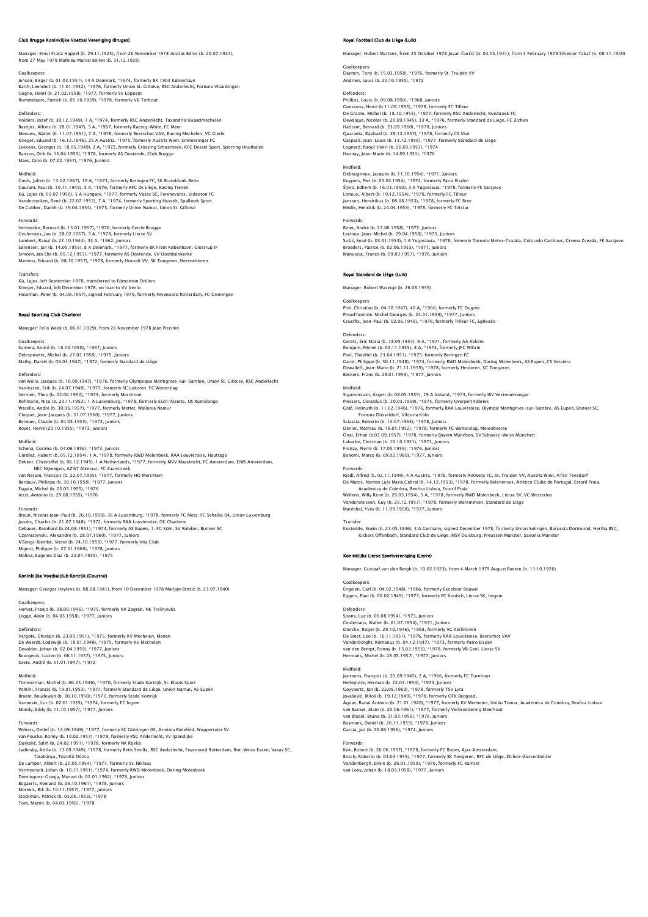# Club Brugge Koninklijke Voetbal Vereniging (Bruges)

Manager: Ernst Franz Happel (b. 29.11.1925), from 26 November 1978 András Béres (b. 20.07.1924), from 27 May 1979 Mathieu Marcel Bollen (b. 31.12.1928)

Goalkeepers: Jensen, Birger (b. 01.03.1951), 14 A Denmark, \*1974, formerly BK 1903 København Barth, Leendert (b. 11.01.1952), \*1976, formerly Union St. Gilloise, RSC Anderlecht, Fortuna Vlaardingen<br>Gogne, Henri (b. 21.02.1958), \*1977, formerly SV Loppem<br>Rommelaere, Patrick (b. 05.10.1959), \*1978, formerly VK Torho

### Defenders:

Volders, Jozef (b. 30.12.1949), 1 A, \*1974, formerly RSC Anderlecht, Taxandria Kwaadmechelen Bastijns, Alfons (b. 28.01.1947), 3 A, \*1967, formerly Racing-White, FC Meer<br>Meeuws, Walter (b. 11.07.1951), 7 A, \*1978, formerly Beerschot VAV, Racing Mechelen, VC Gierle<br>Krieger, Eduard (b. 16.12.1946), 25 A Austria, \*19

### Midfield:

Cools, Julien (b. 13.02.1947), 19 A, \*1973, formerly Beringen FC, SK Branddonk Retie Courant, Paul (b. 10.11.1949), 5 A, \*1976, formerly RFC de Liège, Racing Tienen Kü, Lajos (b. 05.07.1950), 5 A Hungary, \*1977, formerly Vasas SC, Ferencváros, Videoton FC<br>Vandereycken, René (b. 22.07.1953), 7 A, \*1974, formerly Sporting Hasselt, Spalbeek Sport<br>De Cubber, Daniël (b. 19.04.1954), \*1975,

Forwards:<br>Verheecke, Bernard (b. 13.01.1957), \*1976, formerly Cercle Brugge<br>Ceulemans, Jan (b. 28.02.1957), 3 A, \*1978, formerly Lierse SV<br>Lambert, Raoul (b. 22.10.1944), 33 A, \*1962, Juniors<br>Sørensen, Jan (b. 14.05.1955), Martens, Eduard (b. 08.10.1957), \*1978, formerly Hoeselt VV, SK Tongeren, Herenelderen

Transfers:<br>Kü, Lajos, left September 1978, transferred to Edmonton Drillers<br>Krieger, Eduard, left December 1978, on Ioan to VV VenIo<br>Houtman, Peter (b. 04.06.1957), signed February 1979, formerly Feyenoord Rotterdam, FC Gr

### Royal Sporting Club Charleroi

Manager: Felix Week (b. 06.01.1929), from 26 November 1978 Jean Piccinin

Goalkeeper Sumera, André (b. 16.10.1950), \*1967, Juniors Delespinette, Michel (b. 27.03.1958), \*1975, Juniors Mathy, Daniël (b. 09.03.1947), \*1972, formerly Standard de Liège

## Defenders:

van Welle, Jacques (b. 10.09.1947), \*1976, formerly Olympique Montignies–sur-Sambre, Union St. Gilloise, RSC Anderlecht<br>Vanlessen, Erik (b. 24.07.1948), \*1977, formerly SC Lokeren, FC Winterslag<br>Vermeir, Theo (b. 22.06.195 Waselle, André (b. 30.06.1957), \*1977, formerly Mettet, Wallonia Namur<br>Cloquet, Jean-Jacques (b. 31.07.1960), \*1977, Juniors<br>Berwaer, Claude (b. 04.05.1955), \*1973, Juniors<br>Royet, Hervé (20.10.1955), \*1973, Juniors

### Midfield:

Schena, Cosimo (b. 04.06.1956), \*1973, Juniors Cordiez, Hubert (b. 05.12.1954), 1 A, \*1978, formerly RWD Molenbeek, RAA Louviéroise, Hautrage Dekker, Christoffel (b. 06.12.1945), 1 A Netherlands, \*1977, formerly MVV Maastricht, FC Amsterdam, DWS Amsterdam, NEC Nijmegen, AZ'67 Alkmaar, FC Zaanstreek van Nerum, François (b. 22.07.1955), \*1977, formerly HO Merchtem Bardaux, Philippe (b. 30.10.1958), \*1977, Juniors Esgain, Michel (b. 05.03.1955), \*1976 Iezzi, Antonio (b. 29.08.1955), \*1976 Forwards:

Braun, Nicolas Jean-Paul (b. 26.10.1950), 36 A Luxemburg, \*1978, formerly FC Metz, FC Schalke 04, Union Luxemburg Jacobs, Charles (b. 21.07.1948), \*1972, formerly RAA Louviéroise, OC Charleroi<br>Gebauer, Reinhard (b.24.08.1951), \*1974, formerly AS Eupen, 1. FC Köln, SV Roleber, Bonner SC<br>Czerniatynski, Alexandre (b. 28.07.1960), \*1977, Migeot, Philippe (b. 27.01.1960), \*1978, Juniors Molina, Eugenio Díaz (b. 22.01.1955), \*1975

# iklijke Voetbalclub Kortrijk (Courtrai)

Manager: Georges Heylens (b. 08.08.1941), from 10 December 1978 Marijan Brnčić (b. 23.07.1940)

Goalkeepers: Horvat, Franjo (b. 08.09.1946), \*1975, formerly NK Zagreb, NK Trešnjevka Legge, Alain (b. 04.03.1958), \*1977, Juniors

Defenders:<br>Vergote, Ghislain (b. 23.09.1951), \*1975, formerly KV Mechelen, Menen<br>De Weerdt, Lodewijk (b. 18.01.1948), \*1975, formerly KV Mechelen<br>Devolder, Johan (b. 02.04.1959), \*1977, Juniors Bourgeois, Lucien (b. 06.11.1957), \*1975, Juniors Soete, André (b. 01.01.1947), \*1972

Midfield: Timmerman, Michel (b. 06.05.1946), \*1970, formerly Stade Kortrijk, St. Eloois Sport Pomini, Francis (b. 19.01.1953), \*1977, formerly Standard de Liège, Union Namur, AS Eupen<br>Braem, Boudewijn (b. 30.10.1950), \*1970, formerly Stade Kortrijk<br>Vanneste, Luc (b. 02.01.1955), \*1974, formerly FC legem<br>Mondy, Eddy

### Forwards:

Webers, Detlef (b. 13.09.1949), \*1977, formerly SC Göttingen 05, Arminia Bielefeld, Wuppertaler SV<br>van Poucke, Ronny (b. 10.02.1957), \*1978, formerly RSC Anderlecht, VV Ijzendijke<br>Durkalić, Salih (b. 24.02.1951), \*1978, fo Tatabánya, Tüzoltó Dózsa De Lamper, Albert (b. 20.05.1954), \*1977, formerly St. Niklaas<br>Vermeersch, Johan (b. 10.11.1951), \*1974, formerly RWD Molenbeek, Daring Molenbeek<br>Dominguez–Granja, Manuel (b. 02.01.1962), \*1978, Juniors<br>Bogaerts, Roeland ( Stockman, Patrick (b. 05.06.1955), \*1978 Toet, Martin (b. 04.03.1956), \*1978

# Royal Football Club de Liège (Luik)

Manager: Hubert Martens, from 25 October 1978 Jovan Ćurčić (b. 04.05.1941), from 3 February 1979 Silvester Takač (b. 08.11.1940)

Goalkeepers: Daenen, Tony (b. 15.03.1958), \*1976, formerly St. Truiden VV Andrien, Louis (b. 20.10.1950), \*1972

Defenders:<br>Phillips, Louis (b. 09.08.1950), \*1968, Juniors<br>Goossens, Henri (b.11.09.1955), \*1978, formerly FC Tilleur<br>De Groote, Michel (b. 18.10.1955), \*1977, formerly RSC Anderlecht, Ruisbroek FC Dewalque, Nicolas (b. 20.09.1945), 33 A, \*1976, formerly Standard de Liège, FC Zichen Habrant, Bernard (b. 23.09.1960), \*1978, Juniors<br>Quaranta, Raphaël (b. 29.12.1957), \*1978, formerly CS Visé<br>Gaspard, Jean-Louis (b. 13.12.1956), \*1977, formerly Standard de Liège<br>Lognard, Raoul Henri (b. 26.03.1953), \*1974 Hannay, Jean-Marie (b. 14.09.1951), \*1970

Midfield:<br>Debougnoux, Jacques (b. 11.10.1954), \*1971, Juniors<br>Kuypers, Piet (b. 03.02.1954), \*1974, formerly Patro Eisden<br>Šljivo, Edhem (b. 16.03.1950), 3 A Yugoslavia, \*1978, formerly FK Sarajevo Loneux, Albert (b. 19.12.1954), \*1978, formerly FC Tilleur Janssen, Hendrikus (b. 08.08.1953), \*1978, formerly FC Bree Medik, Hendrik (b. 24.04.1953), \*1978, formerly FC Telstar

# Forwards:

Binet, André (b. 23.06.1958), \*1975, Juniors Lecloux, Jean-Michel (b. 29.04.1958), \*1975, Juniors Sušić, Sead (b. 03.01.1953), 1 A Yugoslavia, \*1978, formerly Toronto Metro-Croatia, Colorado Caribous, Crvena Zvezda, FK Sarajevo<br>Broeders, Patrice (b. 02.06.1953), \*1971, Juniors<br>Manuscia, Franco (b. 09.03.1957), \*1976, J

## Royal Standard de Liège (Luik)

Manager: Robert Waseige (b. 26.08.1939)

Goalkeepers Piot, Christian (b. 04.10.1947), 40 A, \*1966, formerly FC Ougrée

Preud'homme, Michel Georges (b. 24.01.1959), \*1977, Juniors Crucifix, Jean-Paul (b. 02.06.1949), \*1976, formerly Tilleur FC, Eghezée

## Defender

Gerets, Eric Maria (b. 18.05.1954), 9 A, \*1971, formerly AA Rekem Renquin, Michel (b. 03.11.1955), 8 A, \*1974, formerly JFC Wibrin<br>Poel, Theofiel (b. 23.04.1951), \*1975, formerly Beringen FC<br>Garot, Philippe (b. 30.11.1948), \*1974, formerly RWD Molenbeek, Daring Molenbeek, AS Eupen, CS Ve Dewalleff, Jean-Marie (b. 21.11.1959), \*1978, formerly Herderen, SC Tongeren Beckers, Frans (b. 28.01.1959), \*1977, Juniors

Midfield: Sigurvinsson, Ásgeir (b. 08.05.1955), 19 A Iceland, \*1973, formerly IBV Vestmannaeyjar Plessers, Gerardus (b. 30.03.1959), \*1975, formerly Overpelt Fabriek Graf, Helmuth (b. 11.02.1946), \*1976, formerly RAA Louvièroise, Olympic Montignies-sur-Sambre, AS Eupen, Bonner SC, Fortuna Düsseldorf, Viktoria Köln<br>Sciascia, Roberto (b. 14.07.1963), \*1978, Juniors<br>Denier, Mathieu (b. 16.05.1952), \*1978, formerly FC Winterslag, Moienbeerse<br>Onal, Ernan (b.03.09.1957), \*1978, formerly Bayern München, SV

### Forwards:

Riedl, Alfred (b. 02.11.1949), 4 A Austria, \*1976, formerly Antwerp FC, St. Truiden VV, Austria Wien, ATSV Teesdorf<br>De Matos, Notron Luís Maria Cabral (b. 14.12.1953), \*1978, formerly Belenenses, Atlético Clube de Portugal

## Transfer:

Kostedde, Erwin (b. 21.05.1946), 3 A Germany, signed December 1978, formerly Union Solingen, Borussia Dortmund, Hertha BSC,<br>Kickers Offenbach, Standard Club de Liège, MSV Duisburg, Preussen Münster, Saxonia Münster

## Koninklijke Lierse Sportvereniging (Lierre)

Manager: Gustaaf van den Bergh (b. 10.02.1923), from 4 March 1979 August Baeten (b. 11.10.1926)

### Goalkeepers:

Engelen, Carl (b. 04.02.1948), \*1966, formerly Excelsior Bouwel Eggers, Paul (b. 06.02.1949), \*1973, formerly FC Kontich, Lierse SK, Itegem

### Defender

Soons, Luc (b. 06.08.1954), \*1973, Juniors Ceulemans, Walter (b. 01.07.1954), \*1971, Juniors<br>Dierckx, Roger (b. 29.10.1946), \*1968, formerly VC Kerkhoven<br>De Smet, Leo (b. 16.11.1951), \*1976, formerly RAA Louviéroise, Beerschot VAV<br>Vanderborght, Romanus (b. 04.12.19 Hermans, Michel (b. 28.05.1957), \*1977, Juniors

Midfield: Janssens, François (b. 25.09.1945), 2 A, \*1966, formerly FC Turnhout Helleputte, Herman (b. 22.03.1954), \*1973, Juniors Goyvaerts, Jan (b. 22.08.1960), \*1978, formerly TSV Lyra<br>Jovašević, Miloš (b. 19.12.1949), \*1978, formerly OFK Beograd,<br>Águas, Raoul António (b. 21.01.1949), \*1977, formerly KV Mechelen, União Tomar, Académica de Coimbra, Bosmans, Daniël (b. 26.11.1959), \*1978, Juniors Garcia, Jan (b. 20.06.1956), \*1974, Juniors

Forwards: Kok, Robert (b. 26.06.1957), \*1978, formerly FC Boom, Ajax Amsterdam Bosch, Roberto (b. 03.03.1955), \*1977, formerly SK Tongeren, RFC de Liège, Zichen-Zussenbolder Vandenbergh, Erwin (b. 26.01.1959), \*1976, formerly FC Ramsel van Looy, Johan (b. 18.03.1958), \*1977, Juniors